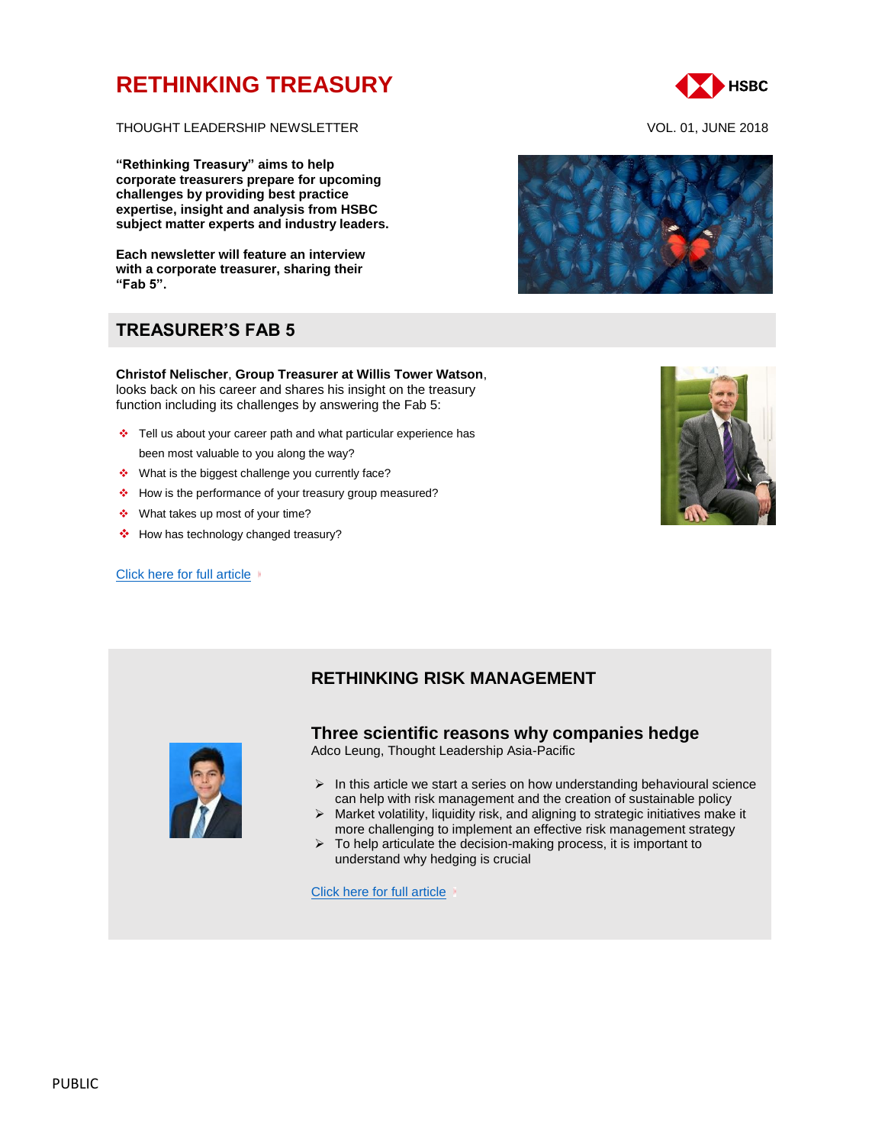# **[RETHINKING TREASURY](http://www.gbm.hsbc.com/the-new-future#rethinking-treasury)**

THOUGHT LEADERSHIP NEWSLETTER VOL. 01, JUNE 2018

**"Rethinking Treasury" aims to help corporate treasurers prepare for upcoming challenges by providing best practice expertise, insight and analysis from HSBC subject matter experts and industry leaders.** 

**Each newsletter will feature an interview with a corporate treasurer, sharing their "Fab 5".**

# **TREASURER'S FAB 5**

**Christof Nelischer**, **Group Treasurer at Willis Tower Watson**, looks back on his career and shares his insight on the treasury function including its challenges by answering the Fab 5:

- Tell us about your career path and what particular experience has been most valuable to you along the way?
- ❖ What is the biggest challenge you currently face?
- \* How is the performance of your treasury group measured?
- What takes up most of your time?
- ❖ How has technology changed treasury?

#### [Click here for full article](http://www.gbm.hsbc.com/insights/markets/in-conversation-with-christof-nelischer-group-treasurer-at-willis-tower-watson)  $\sqrt{ }$



### **RETHINKING RISK MANAGEMENT**



### **Three scientific reasons why companies hedge**

Adco Leung, Thought Leadership Asia-Pacific

- $\triangleright$  In this article we start a series on how understanding behavioural science can help with risk management and the creation of sustainable policy
- $\triangleright$  Market volatility, liquidity risk, and aligning to strategic initiatives make it more challenging to implement an effective risk management strategy
- $\triangleright$  To help articulate the decision-making process, it is important to understand why hedging is crucial

[Click here for full article](http://www.gbm.hsbc.com/insights/markets/rethinking-treasury-three-scientific-reasons)